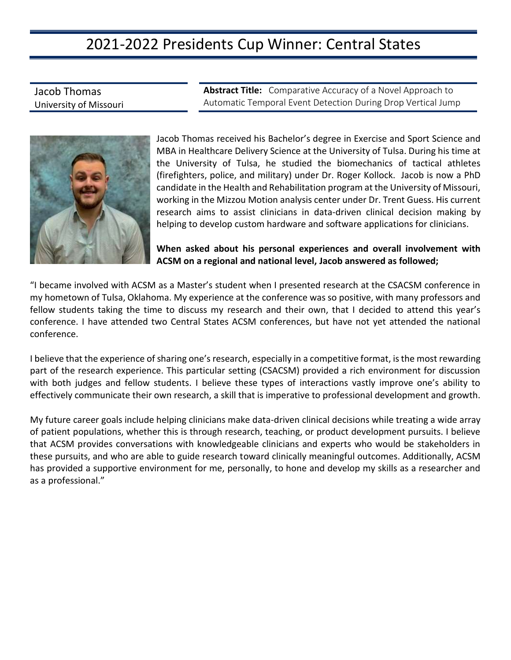### 2021-2022 Presidents Cup Winner: Central States

Jacob Thomas University of Missouri **Abstract Title:** Comparative Accuracy of a Novel Approach to Automatic Temporal Event Detection During Drop Vertical Jump



Jacob Thomas received his Bachelor's degree in Exercise and Sport Science and MBA in Healthcare Delivery Science at the University of Tulsa. During his time at the University of Tulsa, he studied the biomechanics of tactical athletes (firefighters, police, and military) under Dr. Roger Kollock. Jacob is now a PhD candidate in the Health and Rehabilitation program at the University of Missouri, working in the Mizzou Motion analysis center under Dr. Trent Guess. His current research aims to assist clinicians in data-driven clinical decision making by helping to develop custom hardware and software applications for clinicians.

**When asked about his personal experiences and overall involvement with ACSM on a regional and national level, Jacob answered as followed;**

"I became involved with ACSM as a Master's student when I presented research at the CSACSM conference in my hometown of Tulsa, Oklahoma. My experience at the conference was so positive, with many professors and fellow students taking the time to discuss my research and their own, that I decided to attend this year's conference. I have attended two Central States ACSM conferences, but have not yet attended the national conference.

I believe that the experience of sharing one's research, especially in a competitive format, is the most rewarding part of the research experience. This particular setting (CSACSM) provided a rich environment for discussion with both judges and fellow students. I believe these types of interactions vastly improve one's ability to effectively communicate their own research, a skill that is imperative to professional development and growth.

My future career goals include helping clinicians make data-driven clinical decisions while treating a wide array of patient populations, whether this is through research, teaching, or product development pursuits. I believe that ACSM provides conversations with knowledgeable clinicians and experts who would be stakeholders in these pursuits, and who are able to guide research toward clinically meaningful outcomes. Additionally, ACSM has provided a supportive environment for me, personally, to hone and develop my skills as a researcher and as a professional."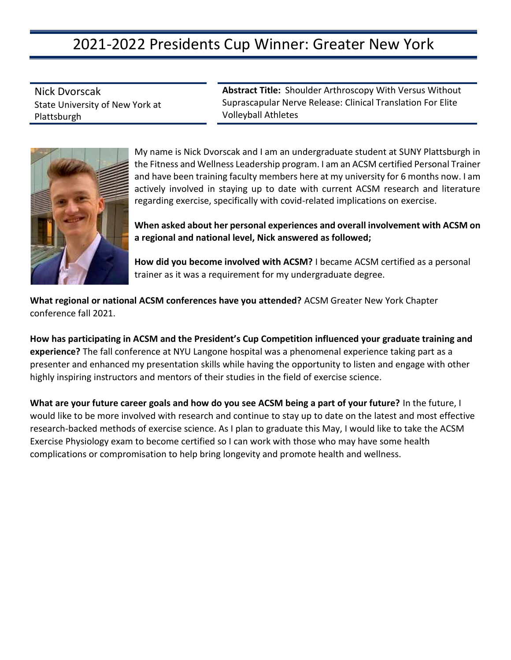# 2021-2022 Presidents Cup Winner: Greater New York

Nick Dvorscak State University of New York at Plattsburgh

**Abstract Title:** Shoulder Arthroscopy With Versus Without Suprascapular Nerve Release: Clinical Translation For Elite Volleyball Athletes



My name is Nick Dvorscak and I am an undergraduate student at SUNY Plattsburgh in the Fitness and Wellness Leadership program. I am an ACSM certified Personal Trainer and have been training faculty members here at my university for 6 months now. I am actively involved in staying up to date with current ACSM research and literature regarding exercise, specifically with covid-related implications on exercise.

**When asked about her personal experiences and overall involvement with ACSM on a regional and national level, Nick answered as followed;**

**How did you become involved with ACSM?** I became ACSM certified as a personal trainer as it was a requirement for my undergraduate degree.

**What regional or national ACSM conferences have you attended?** ACSM Greater New York Chapter conference fall 2021.

**How has participating in ACSM and the President's Cup Competition influenced your graduate training and experience?** The fall conference at NYU Langone hospital was a phenomenal experience taking part as a presenter and enhanced my presentation skills while having the opportunity to listen and engage with other highly inspiring instructors and mentors of their studies in the field of exercise science.

**What are your future career goals and how do you see ACSM being a part of your future?** In the future, I would like to be more involved with research and continue to stay up to date on the latest and most effective research-backed methods of exercise science. As I plan to graduate this May, I would like to take the ACSM Exercise Physiology exam to become certified so I can work with those who may have some health complications or compromisation to help bring longevity and promote health and wellness.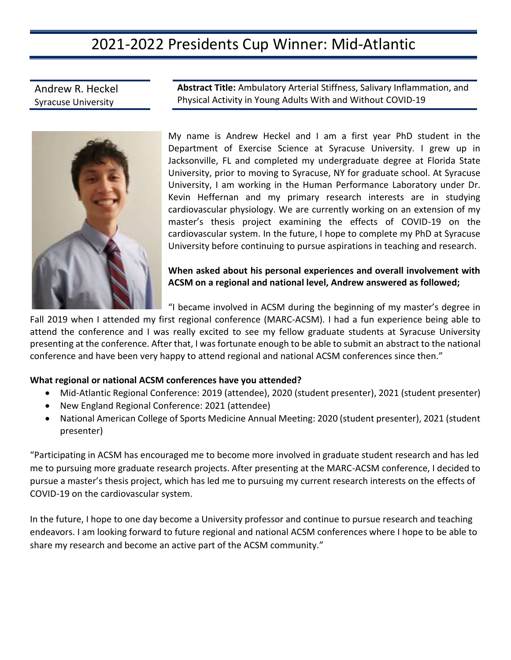## 2021-2022 Presidents Cup Winner: Mid-Atlantic

Andrew R. Heckel Syracuse University

**Abstract Title:** Ambulatory Arterial Stiffness, Salivary Inflammation, and Physical Activity in Young Adults With and Without COVID-19

My name is Andrew Heckel and I am a first year PhD student in the Department of Exercise Science at Syracuse University. I grew up in Jacksonville, FL and completed my undergraduate degree at Florida State University, prior to moving to Syracuse, NY for graduate school. At Syracuse University, I am working in the Human Performance Laboratory under Dr. Kevin Heffernan and my primary research interests are in studying cardiovascular physiology. We are currently working on an extension of my master's thesis project examining the effects of COVID-19 on the cardiovascular system. In the future, I hope to complete my PhD at Syracuse University before continuing to pursue aspirations in teaching and research.

**When asked about his personal experiences and overall involvement with ACSM on a regional and national level, Andrew answered as followed;** 

"I became involved in ACSM during the beginning of my master's degree in

Fall 2019 when I attended my first regional conference (MARC-ACSM). I had a fun experience being able to attend the conference and I was really excited to see my fellow graduate students at Syracuse University presenting at the conference. After that, I was fortunate enough to be able to submit an abstract to the national conference and have been very happy to attend regional and national ACSM conferences since then."

#### **What regional or national ACSM conferences have you attended?**

- Mid-Atlantic Regional Conference: 2019 (attendee), 2020 (student presenter), 2021 (student presenter)
- New England Regional Conference: 2021 (attendee)
- National American College of Sports Medicine Annual Meeting: 2020 (student presenter), 2021 (student presenter)

"Participating in ACSM has encouraged me to become more involved in graduate student research and has led me to pursuing more graduate research projects. After presenting at the MARC-ACSM conference, I decided to pursue a master's thesis project, which has led me to pursuing my current research interests on the effects of COVID-19 on the cardiovascular system.

In the future, I hope to one day become a University professor and continue to pursue research and teaching endeavors. I am looking forward to future regional and national ACSM conferences where I hope to be able to share my research and become an active part of the ACSM community."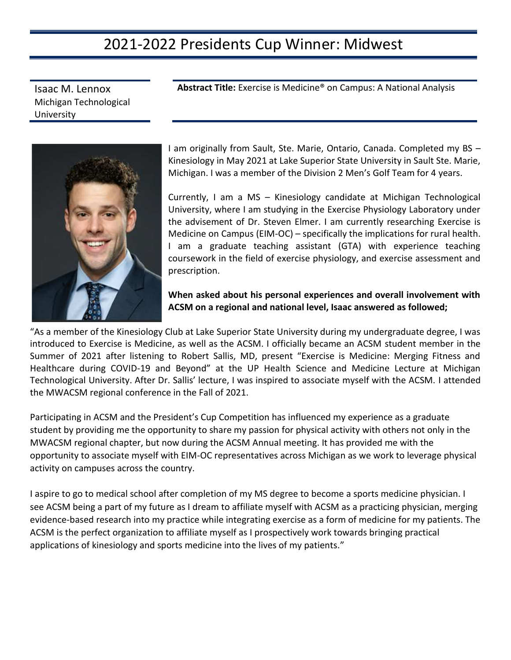#### 2021-2022 Presidents Cup Winner: Midwest

**Abstract Title:** Exercise is Medicine® on Campus: A National Analysis

Isaac M. Lennox Michigan Technological University



I am originally from Sault, Ste. Marie, Ontario, Canada. Completed my BS – Kinesiology in May 2021 at Lake Superior State University in Sault Ste. Marie, Michigan. I was a member of the Division 2 Men's Golf Team for 4 years.

Currently, I am a MS – Kinesiology candidate at Michigan Technological University, where I am studying in the Exercise Physiology Laboratory under the advisement of Dr. Steven Elmer. I am currently researching Exercise is Medicine on Campus (EIM-OC) – specifically the implications for rural health. I am a graduate teaching assistant (GTA) with experience teaching coursework in the field of exercise physiology, and exercise assessment and prescription.

#### **When asked about his personal experiences and overall involvement with ACSM on a regional and national level, Isaac answered as followed;**

"As a member of the Kinesiology Club at Lake Superior State University during my undergraduate degree, I was introduced to Exercise is Medicine, as well as the ACSM. I officially became an ACSM student member in the Summer of 2021 after listening to Robert Sallis, MD, present "Exercise is Medicine: Merging Fitness and Healthcare during COVID-19 and Beyond" at the UP Health Science and Medicine Lecture at Michigan Technological University. After Dr. Sallis' lecture, I was inspired to associate myself with the ACSM. I attended the MWACSM regional conference in the Fall of 2021.

Participating in ACSM and the President's Cup Competition has influenced my experience as a graduate student by providing me the opportunity to share my passion for physical activity with others not only in the MWACSM regional chapter, but now during the ACSM Annual meeting. It has provided me with the opportunity to associate myself with EIM-OC representatives across Michigan as we work to leverage physical activity on campuses across the country.

I aspire to go to medical school after completion of my MS degree to become a sports medicine physician. I see ACSM being a part of my future as I dream to affiliate myself with ACSM as a practicing physician, merging evidence-based research into my practice while integrating exercise as a form of medicine for my patients. The ACSM is the perfect organization to affiliate myself as I prospectively work towards bringing practical applications of kinesiology and sports medicine into the lives of my patients."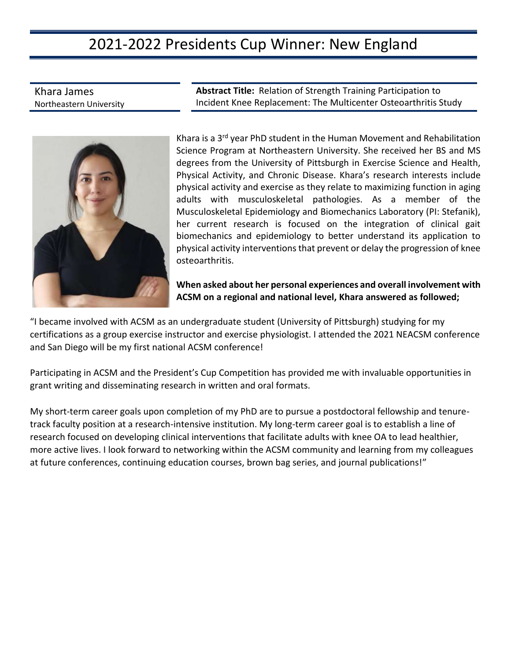# 2021-2022 Presidents Cup Winner: New England

Khara James Northeastern University

**Abstract Title:** Relation of Strength Training Participation to Incident Knee Replacement: The Multicenter Osteoarthritis Study

Khara is a 3<sup>rd</sup> year PhD student in the Human Movement and Rehabilitation Science Program at Northeastern University. She received her BS and MS degrees from the University of Pittsburgh in Exercise Science and Health, Physical Activity, and Chronic Disease. Khara's research interests include physical activity and exercise as they relate to maximizing function in aging adults with musculoskeletal pathologies. As a member of the Musculoskeletal Epidemiology and Biomechanics Laboratory (PI: Stefanik), her current research is focused on the integration of clinical gait biomechanics and epidemiology to better understand its application to physical activity interventions that prevent or delay the progression of knee osteoarthritis.

**When asked about her personal experiences and overall involvement with ACSM on a regional and national level, Khara answered as followed;**

"I became involved with ACSM as an undergraduate student (University of Pittsburgh) studying for my certifications as a group exercise instructor and exercise physiologist. I attended the 2021 NEACSM conference and San Diego will be my first national ACSM conference!

Participating in ACSM and the President's Cup Competition has provided me with invaluable opportunities in grant writing and disseminating research in written and oral formats.

My short-term career goals upon completion of my PhD are to pursue a postdoctoral fellowship and tenuretrack faculty position at a research-intensive institution. My long-term career goal is to establish a line of research focused on developing clinical interventions that facilitate adults with knee OA to lead healthier, more active lives. I look forward to networking within the ACSM community and learning from my colleagues at future conferences, continuing education courses, brown bag series, and journal publications!"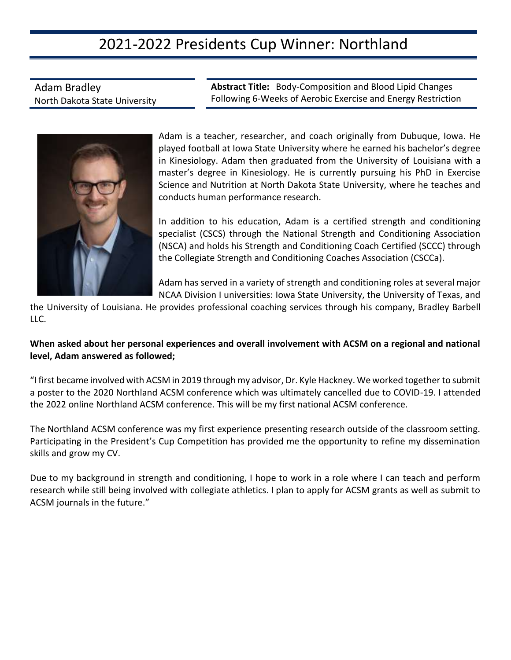## 2021-2022 Presidents Cup Winner: Northland

Adam Bradley North Dakota State University **Abstract Title:** Body-Composition and Blood Lipid Changes Following 6-Weeks of Aerobic Exercise and Energy Restriction



Adam is a teacher, researcher, and coach originally from Dubuque, Iowa. He played football at Iowa State University where he earned his bachelor's degree in Kinesiology. Adam then graduated from the University of Louisiana with a master's degree in Kinesiology. He is currently pursuing his PhD in Exercise Science and Nutrition at North Dakota State University, where he teaches and conducts human performance research.

In addition to his education, Adam is a certified strength and conditioning specialist (CSCS) through the National Strength and Conditioning Association (NSCA) and holds his Strength and Conditioning Coach Certified (SCCC) through the Collegiate Strength and Conditioning Coaches Association (CSCCa).

Adam has served in a variety of strength and conditioning roles at several major NCAA Division I universities: Iowa State University, the University of Texas, and

the University of Louisiana. He provides professional coaching services through his company, Bradley Barbell LLC.

#### **When asked about her personal experiences and overall involvement with ACSM on a regional and national level, Adam answered as followed;**

"I first became involved with ACSM in 2019 through my advisor, Dr. Kyle Hackney. We worked together to submit a poster to the 2020 Northland ACSM conference which was ultimately cancelled due to COVID-19. I attended the 2022 online Northland ACSM conference. This will be my first national ACSM conference.

The Northland ACSM conference was my first experience presenting research outside of the classroom setting. Participating in the President's Cup Competition has provided me the opportunity to refine my dissemination skills and grow my CV.

Due to my background in strength and conditioning, I hope to work in a role where I can teach and perform research while still being involved with collegiate athletics. I plan to apply for ACSM grants as well as submit to ACSM journals in the future."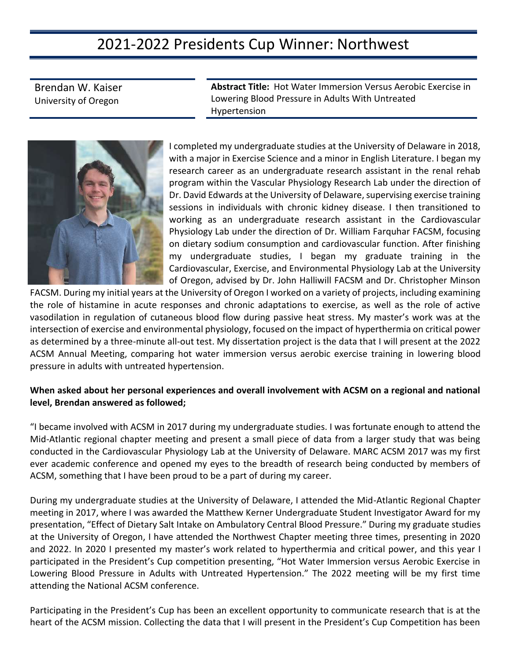### 2021-2022 Presidents Cup Winner: Northwest

Brendan W. Kaiser University of Oregon **Abstract Title:** Hot Water Immersion Versus Aerobic Exercise in Lowering Blood Pressure in Adults With Untreated Hypertension



I completed my undergraduate studies at the University of Delaware in 2018, with a major in Exercise Science and a minor in English Literature. I began my research career as an undergraduate research assistant in the renal rehab program within the Vascular Physiology Research Lab under the direction of Dr. David Edwards at the University of Delaware, supervising exercise training sessions in individuals with chronic kidney disease. I then transitioned to working as an undergraduate research assistant in the Cardiovascular Physiology Lab under the direction of Dr. William Farquhar FACSM, focusing on dietary sodium consumption and cardiovascular function. After finishing my undergraduate studies, I began my graduate training in the Cardiovascular, Exercise, and Environmental Physiology Lab at the University of Oregon, advised by Dr. John Halliwill FACSM and Dr. Christopher Minson

FACSM. During my initial years at the University of Oregon I worked on a variety of projects, including examining the role of histamine in acute responses and chronic adaptations to exercise, as well as the role of active vasodilation in regulation of cutaneous blood flow during passive heat stress. My master's work was at the intersection of exercise and environmental physiology, focused on the impact of hyperthermia on critical power as determined by a three-minute all-out test. My dissertation project is the data that I will present at the 2022 ACSM Annual Meeting, comparing hot water immersion versus aerobic exercise training in lowering blood pressure in adults with untreated hypertension.

#### **When asked about her personal experiences and overall involvement with ACSM on a regional and national level, Brendan answered as followed;**

"I became involved with ACSM in 2017 during my undergraduate studies. I was fortunate enough to attend the Mid-Atlantic regional chapter meeting and present a small piece of data from a larger study that was being conducted in the Cardiovascular Physiology Lab at the University of Delaware. MARC ACSM 2017 was my first ever academic conference and opened my eyes to the breadth of research being conducted by members of ACSM, something that I have been proud to be a part of during my career.

During my undergraduate studies at the University of Delaware, I attended the Mid-Atlantic Regional Chapter meeting in 2017, where I was awarded the Matthew Kerner Undergraduate Student Investigator Award for my presentation, "Effect of Dietary Salt Intake on Ambulatory Central Blood Pressure." During my graduate studies at the University of Oregon, I have attended the Northwest Chapter meeting three times, presenting in 2020 and 2022. In 2020 I presented my master's work related to hyperthermia and critical power, and this year I participated in the President's Cup competition presenting, "Hot Water Immersion versus Aerobic Exercise in Lowering Blood Pressure in Adults with Untreated Hypertension." The 2022 meeting will be my first time attending the National ACSM conference.

Participating in the President's Cup has been an excellent opportunity to communicate research that is at the heart of the ACSM mission. Collecting the data that I will present in the President's Cup Competition has been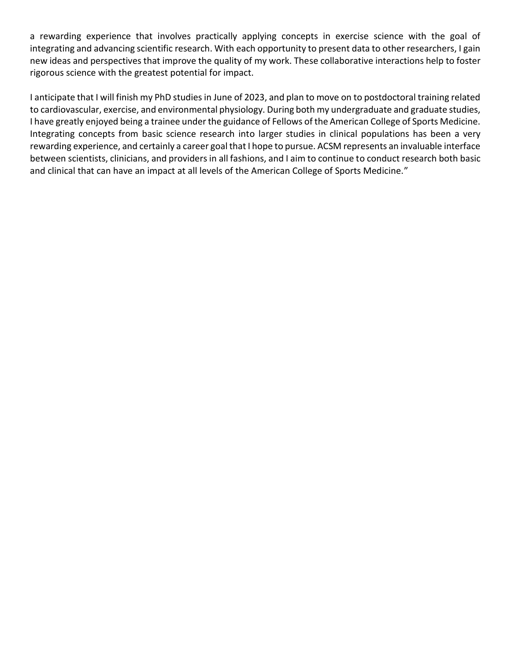a rewarding experience that involves practically applying concepts in exercise science with the goal of integrating and advancing scientific research. With each opportunity to present data to other researchers, I gain new ideas and perspectives that improve the quality of my work. These collaborative interactions help to foster rigorous science with the greatest potential for impact.

I anticipate that I will finish my PhD studies in June of 2023, and plan to move on to postdoctoral training related to cardiovascular, exercise, and environmental physiology. During both my undergraduate and graduate studies, I have greatly enjoyed being a trainee under the guidance of Fellows of the American College of Sports Medicine. Integrating concepts from basic science research into larger studies in clinical populations has been a very rewarding experience, and certainly a career goal that I hope to pursue. ACSM represents an invaluable interface between scientists, clinicians, and providers in all fashions, and I aim to continue to conduct research both basic and clinical that can have an impact at all levels of the American College of Sports Medicine."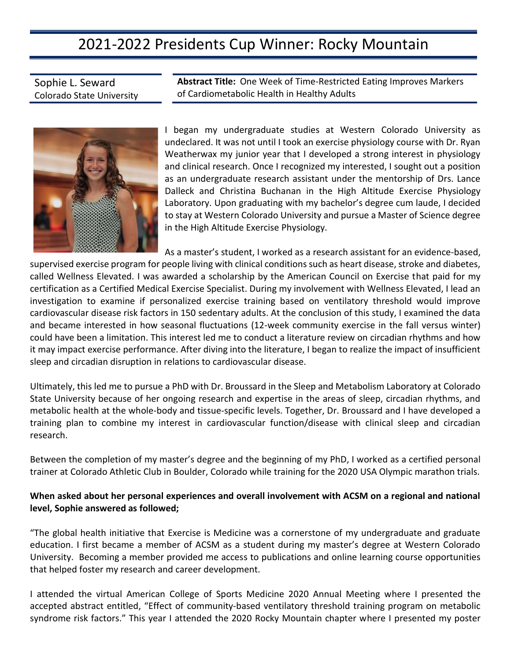### 2021-2022 Presidents Cup Winner: Rocky Mountain

Sophie L. Seward Colorado State University **Abstract Title:** One Week of Time-Restricted Eating Improves Markers of Cardiometabolic Health in Healthy Adults



I began my undergraduate studies at Western Colorado University as undeclared. It was not until I took an exercise physiology course with Dr. Ryan Weatherwax my junior year that I developed a strong interest in physiology and clinical research. Once I recognized my interested, I sought out a position as an undergraduate research assistant under the mentorship of Drs. Lance Dalleck and Christina Buchanan in the High Altitude Exercise Physiology Laboratory. Upon graduating with my bachelor's degree cum laude, I decided to stay at Western Colorado University and pursue a Master of Science degree in the High Altitude Exercise Physiology.

As a master's student, I worked as a research assistant for an evidence-based, supervised exercise program for people living with clinical conditions such as heart disease, stroke and diabetes, called Wellness Elevated. I was awarded a scholarship by the American Council on Exercise that paid for my certification as a Certified Medical Exercise Specialist. During my involvement with Wellness Elevated, I lead an investigation to examine if personalized exercise training based on ventilatory threshold would improve cardiovascular disease risk factors in 150 sedentary adults. At the conclusion of this study, I examined the data and became interested in how seasonal fluctuations (12-week community exercise in the fall versus winter) could have been a limitation. This interest led me to conduct a literature review on circadian rhythms and how it may impact exercise performance. After diving into the literature, I began to realize the impact of insufficient sleep and circadian disruption in relations to cardiovascular disease.

Ultimately, this led me to pursue a PhD with Dr. Broussard in the Sleep and Metabolism Laboratory at Colorado State University because of her ongoing research and expertise in the areas of sleep, circadian rhythms, and metabolic health at the whole-body and tissue-specific levels. Together, Dr. Broussard and I have developed a training plan to combine my interest in cardiovascular function/disease with clinical sleep and circadian research.

Between the completion of my master's degree and the beginning of my PhD, I worked as a certified personal trainer at Colorado Athletic Club in Boulder, Colorado while training for the 2020 USA Olympic marathon trials.

#### **When asked about her personal experiences and overall involvement with ACSM on a regional and national level, Sophie answered as followed;**

"The global health initiative that Exercise is Medicine was a cornerstone of my undergraduate and graduate education. I first became a member of ACSM as a student during my master's degree at Western Colorado University. Becoming a member provided me access to publications and online learning course opportunities that helped foster my research and career development.

I attended the virtual American College of Sports Medicine 2020 Annual Meeting where I presented the accepted abstract entitled, "Effect of community-based ventilatory threshold training program on metabolic syndrome risk factors." This year I attended the 2020 Rocky Mountain chapter where I presented my poster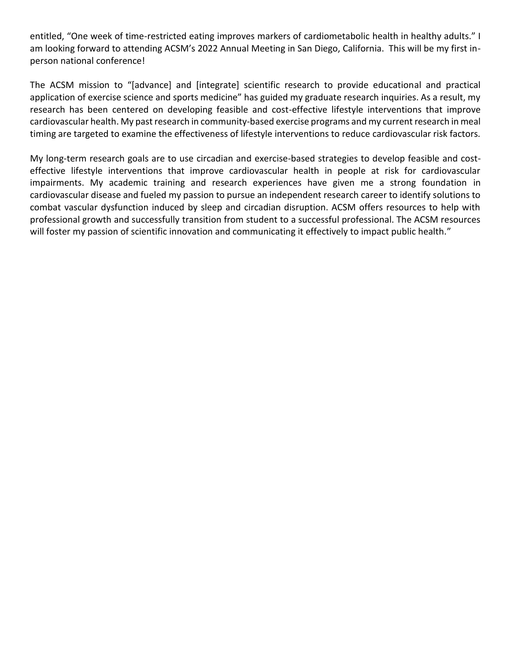entitled, "One week of time-restricted eating improves markers of cardiometabolic health in healthy adults." I am looking forward to attending ACSM's 2022 Annual Meeting in San Diego, California. This will be my first inperson national conference!

The ACSM mission to "[advance] and [integrate] scientific research to provide educational and practical application of exercise science and sports medicine" has guided my graduate research inquiries. As a result, my research has been centered on developing feasible and cost-effective lifestyle interventions that improve cardiovascular health. My past research in community-based exercise programs and my current research in meal timing are targeted to examine the effectiveness of lifestyle interventions to reduce cardiovascular risk factors.

My long-term research goals are to use circadian and exercise-based strategies to develop feasible and costeffective lifestyle interventions that improve cardiovascular health in people at risk for cardiovascular impairments. My academic training and research experiences have given me a strong foundation in cardiovascular disease and fueled my passion to pursue an independent research career to identify solutions to combat vascular dysfunction induced by sleep and circadian disruption. ACSM offers resources to help with professional growth and successfully transition from student to a successful professional. The ACSM resources will foster my passion of scientific innovation and communicating it effectively to impact public health."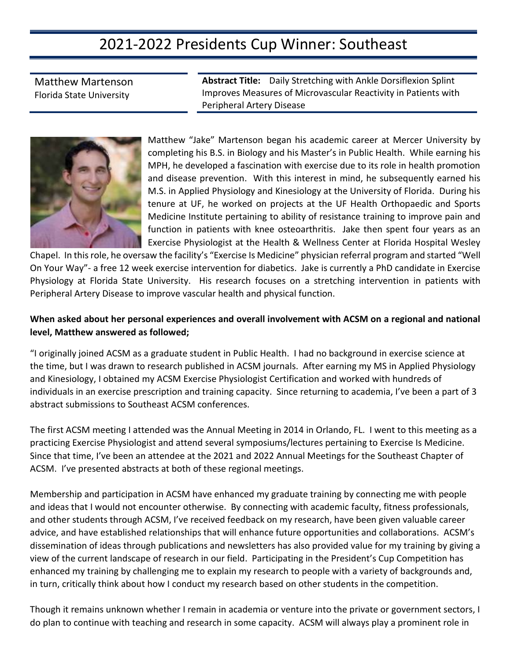## 2021-2022 Presidents Cup Winner: Southeast

Matthew Martenson Florida State University

**Abstract Title:** Daily Stretching with Ankle Dorsiflexion Splint Improves Measures of Microvascular Reactivity in Patients with Peripheral Artery Disease



Matthew "Jake" Martenson began his academic career at Mercer University by completing his B.S. in Biology and his Master's in Public Health. While earning his MPH, he developed a fascination with exercise due to its role in health promotion and disease prevention. With this interest in mind, he subsequently earned his M.S. in Applied Physiology and Kinesiology at the University of Florida. During his tenure at UF, he worked on projects at the UF Health Orthopaedic and Sports Medicine Institute pertaining to ability of resistance training to improve pain and function in patients with knee osteoarthritis. Jake then spent four years as an Exercise Physiologist at the Health & Wellness Center at Florida Hospital Wesley

Chapel. In this role, he oversaw the facility's "Exercise Is Medicine" physician referral program and started "Well On Your Way"- a free 12 week exercise intervention for diabetics. Jake is currently a PhD candidate in Exercise Physiology at Florida State University. His research focuses on a stretching intervention in patients with Peripheral Artery Disease to improve vascular health and physical function.

#### **When asked about her personal experiences and overall involvement with ACSM on a regional and national level, Matthew answered as followed;**

"I originally joined ACSM as a graduate student in Public Health. I had no background in exercise science at the time, but I was drawn to research published in ACSM journals. After earning my MS in Applied Physiology and Kinesiology, I obtained my ACSM Exercise Physiologist Certification and worked with hundreds of individuals in an exercise prescription and training capacity. Since returning to academia, I've been a part of 3 abstract submissions to Southeast ACSM conferences.

The first ACSM meeting I attended was the Annual Meeting in 2014 in Orlando, FL. I went to this meeting as a practicing Exercise Physiologist and attend several symposiums/lectures pertaining to Exercise Is Medicine. Since that time, I've been an attendee at the 2021 and 2022 Annual Meetings for the Southeast Chapter of ACSM. I've presented abstracts at both of these regional meetings.

Membership and participation in ACSM have enhanced my graduate training by connecting me with people and ideas that I would not encounter otherwise. By connecting with academic faculty, fitness professionals, and other students through ACSM, I've received feedback on my research, have been given valuable career advice, and have established relationships that will enhance future opportunities and collaborations. ACSM's dissemination of ideas through publications and newsletters has also provided value for my training by giving a view of the current landscape of research in our field. Participating in the President's Cup Competition has enhanced my training by challenging me to explain my research to people with a variety of backgrounds and, in turn, critically think about how I conduct my research based on other students in the competition.

Though it remains unknown whether I remain in academia or venture into the private or government sectors, I do plan to continue with teaching and research in some capacity. ACSM will always play a prominent role in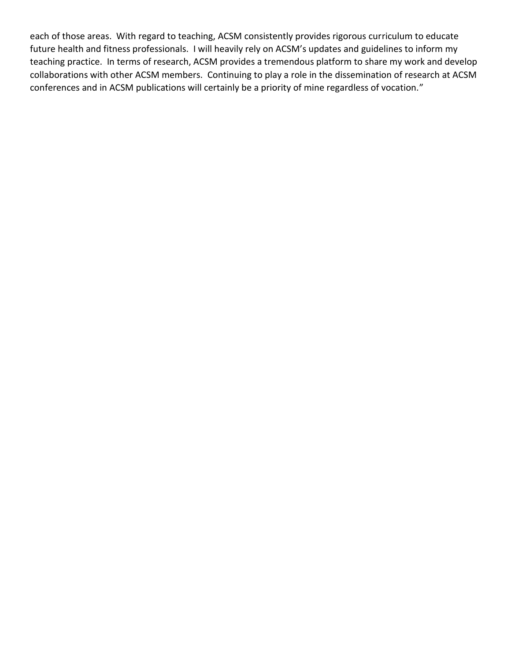each of those areas. With regard to teaching, ACSM consistently provides rigorous curriculum to educate future health and fitness professionals. I will heavily rely on ACSM's updates and guidelines to inform my teaching practice. In terms of research, ACSM provides a tremendous platform to share my work and develop collaborations with other ACSM members. Continuing to play a role in the dissemination of research at ACSM conferences and in ACSM publications will certainly be a priority of mine regardless of vocation."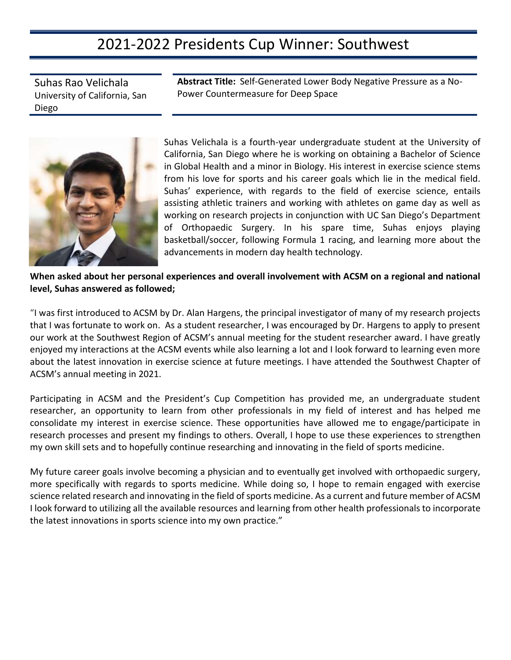### 2021-2022 Presidents Cup Winner: Southwest

Suhas Rao Velichala University of California, San Diego

**Abstract Title:** Self-Generated Lower Body Negative Pressure as a No-Power Countermeasure for Deep Space



Suhas Velichala is a fourth-year undergraduate student at the University of California, San Diego where he is working on obtaining a Bachelor of Science in Global Health and a minor in Biology. His interest in exercise science stems from his love for sports and his career goals which lie in the medical field. Suhas' experience, with regards to the field of exercise science, entails assisting athletic trainers and working with athletes on game day as well as working on research projects in conjunction with UC San Diego's Department of Orthopaedic Surgery. In his spare time, Suhas enjoys playing basketball/soccer, following Formula 1 racing, and learning more about the advancements in modern day health technology.

**When asked about her personal experiences and overall involvement with ACSM on a regional and national level, Suhas answered as followed;**

"I was first introduced to ACSM by Dr. Alan Hargens, the principal investigator of many of my research projects that I was fortunate to work on. As a student researcher, I was encouraged by Dr. Hargens to apply to present our work at the Southwest Region of ACSM's annual meeting for the student researcher award. I have greatly enjoyed my interactions at the ACSM events while also learning a lot and I look forward to learning even more about the latest innovation in exercise science at future meetings. I have attended the Southwest Chapter of ACSM's annual meeting in 2021.

Participating in ACSM and the President's Cup Competition has provided me, an undergraduate student researcher, an opportunity to learn from other professionals in my field of interest and has helped me consolidate my interest in exercise science. These opportunities have allowed me to engage/participate in research processes and present my findings to others. Overall, I hope to use these experiences to strengthen my own skill sets and to hopefully continue researching and innovating in the field of sports medicine.

My future career goals involve becoming a physician and to eventually get involved with orthopaedic surgery, more specifically with regards to sports medicine. While doing so, I hope to remain engaged with exercise science related research and innovating in the field of sports medicine. As a current and future member of ACSM I look forward to utilizing all the available resources and learning from other health professionals to incorporate the latest innovations in sports science into my own practice."